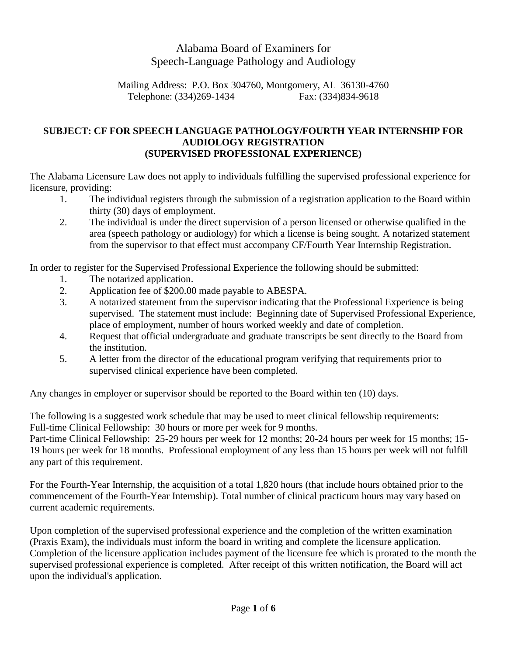# Alabama Board of Examiners for Speech-Language Pathology and Audiology

Mailing Address: P.O. Box 304760, Montgomery, AL 36130-4760 Telephone: (334)269-1434 Fax: (334)834-9618

## **SUBJECT: CF FOR SPEECH LANGUAGE PATHOLOGY/FOURTH YEAR INTERNSHIP FOR AUDIOLOGY REGISTRATION (SUPERVISED PROFESSIONAL EXPERIENCE)**

The Alabama Licensure Law does not apply to individuals fulfilling the supervised professional experience for licensure, providing:

- 1. The individual registers through the submission of a registration application to the Board within thirty (30) days of employment.
- 2. The individual is under the direct supervision of a person licensed or otherwise qualified in the area (speech pathology or audiology) for which a license is being sought. A notarized statement from the supervisor to that effect must accompany CF/Fourth Year Internship Registration.

In order to register for the Supervised Professional Experience the following should be submitted:

- 1. The notarized application.
- 2. Application fee of \$200.00 made payable to ABESPA.
- 3. A notarized statement from the supervisor indicating that the Professional Experience is being supervised. The statement must include: Beginning date of Supervised Professional Experience, place of employment, number of hours worked weekly and date of completion.
- 4. Request that official undergraduate and graduate transcripts be sent directly to the Board from the institution.
- 5. A letter from the director of the educational program verifying that requirements prior to supervised clinical experience have been completed.

Any changes in employer or supervisor should be reported to the Board within ten (10) days.

The following is a suggested work schedule that may be used to meet clinical fellowship requirements: Full-time Clinical Fellowship: 30 hours or more per week for 9 months.

Part-time Clinical Fellowship: 25-29 hours per week for 12 months; 20-24 hours per week for 15 months; 15- 19 hours per week for 18 months. Professional employment of any less than 15 hours per week will not fulfill any part of this requirement.

For the Fourth-Year Internship, the acquisition of a total 1,820 hours (that include hours obtained prior to the commencement of the Fourth-Year Internship). Total number of clinical practicum hours may vary based on current academic requirements.

Upon completion of the supervised professional experience and the completion of the written examination (Praxis Exam), the individuals must inform the board in writing and complete the licensure application. Completion of the licensure application includes payment of the licensure fee which is prorated to the month the supervised professional experience is completed. After receipt of this written notification, the Board will act upon the individual's application.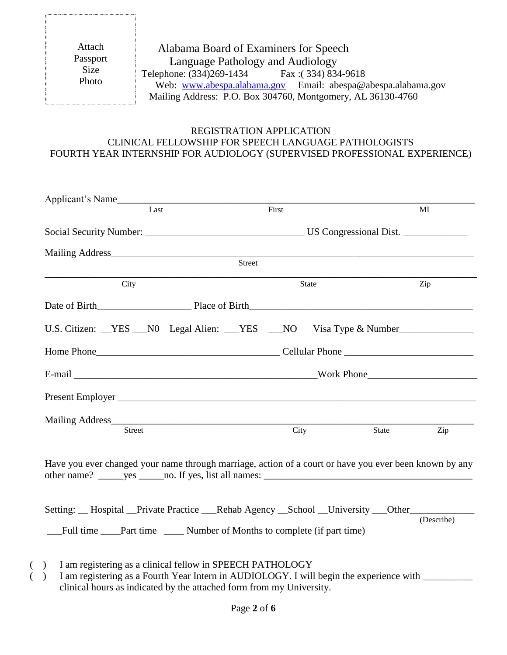Attach Passport Size Photo

# Alabama Board of Examiners for Speech Language Pathology and Audiology Telephone: (334)269-1434 Fax: (334) 834-9618 Web: [www.abespa.alabama.gov](http://www.abespa.alabama.gov/) Email: abespa@abespa.alabama.gov Mailing Address: P.O. Box 304760, Montgomery, AL 36130-4760

### REGISTRATION APPLICATION CLINICAL FELLOWSHIP FOR SPEECH LANGUAGE PATHOLOGISTS FOURTH YEAR INTERNSHIP FOR AUDIOLOGY (SUPERVISED PROFESSIONAL EXPERIENCE)

| Applicant's Name                                                                                                                                                                                                                                                                            |       |       |            |
|---------------------------------------------------------------------------------------------------------------------------------------------------------------------------------------------------------------------------------------------------------------------------------------------|-------|-------|------------|
| Last                                                                                                                                                                                                                                                                                        | First |       | MI         |
|                                                                                                                                                                                                                                                                                             |       |       |            |
| Mailing Address <b>Mailing</b> Address <b>Mailing</b> Address <b>Mailing</b> Address <b>Mailing</b> Address <b>Mailing</b> Address <b>Mailing</b> Address <b>Mailing</b> Address <b>Mailing</b> Address <b>Mailing</b> Address <b>Mailing</b> Address <b>Mailing</b> Address <b>Mailing</b> |       |       |            |
| Street                                                                                                                                                                                                                                                                                      |       |       |            |
| City                                                                                                                                                                                                                                                                                        | State |       | Zip        |
|                                                                                                                                                                                                                                                                                             |       |       |            |
| U.S. Citizen: YES NO Legal Alien: YES NO Visa Type & Number                                                                                                                                                                                                                                 |       |       |            |
|                                                                                                                                                                                                                                                                                             |       |       |            |
|                                                                                                                                                                                                                                                                                             |       |       |            |
|                                                                                                                                                                                                                                                                                             |       |       |            |
|                                                                                                                                                                                                                                                                                             |       |       |            |
| Street                                                                                                                                                                                                                                                                                      | City  | State | Zip        |
| Have you ever changed your name through marriage, action of a court or have you ever been known by any                                                                                                                                                                                      |       |       |            |
| Setting: __ Hospital __Private Practice ___ Rehab Agency __School __University ___Other____________                                                                                                                                                                                         |       |       | (Describe) |

- ( ) I am registering as a clinical fellow in SPEECH PATHOLOGY
- () I am registering as a Fourth Year Intern in AUDIOLOGY. I will begin the experience with  $\Box$ clinical hours as indicated by the attached form from my University.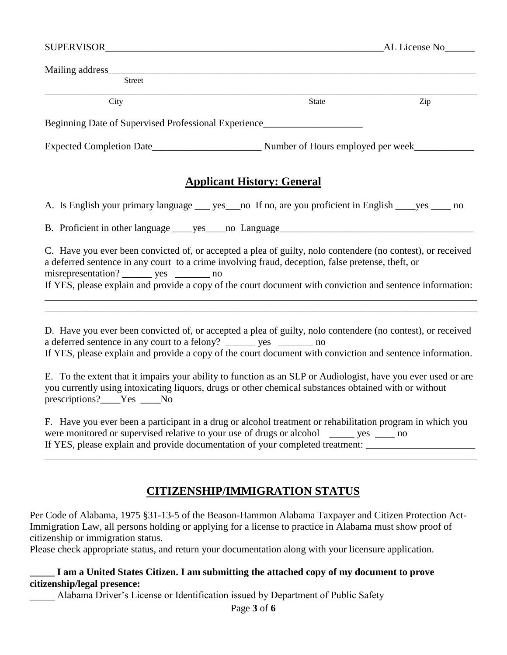| <b>Street</b>                                                                                                                                                                                                                                                                                                                                                                                                                                                                                                            |                                        |     |
|--------------------------------------------------------------------------------------------------------------------------------------------------------------------------------------------------------------------------------------------------------------------------------------------------------------------------------------------------------------------------------------------------------------------------------------------------------------------------------------------------------------------------|----------------------------------------|-----|
| City                                                                                                                                                                                                                                                                                                                                                                                                                                                                                                                     | <b>State</b>                           | Zip |
| Beginning Date of Supervised Professional Experience                                                                                                                                                                                                                                                                                                                                                                                                                                                                     |                                        |     |
|                                                                                                                                                                                                                                                                                                                                                                                                                                                                                                                          |                                        |     |
| <b>Applicant History: General</b>                                                                                                                                                                                                                                                                                                                                                                                                                                                                                        |                                        |     |
| A. Is English your primary language _____ yes ____ no If no, are you proficient in English ______ yes ______ no                                                                                                                                                                                                                                                                                                                                                                                                          |                                        |     |
|                                                                                                                                                                                                                                                                                                                                                                                                                                                                                                                          |                                        |     |
| C. Have you ever been convicted of, or accepted a plea of guilty, nolo contendere (no contest), or received<br>a deferred sentence in any court to a crime involving fraud, deception, false pretense, theft, or<br>misrepresentation? ________ yes _________ no<br>If YES, please explain and provide a copy of the court document with conviction and sentence information:                                                                                                                                            |                                        |     |
| D. Have you ever been convicted of, or accepted a plea of guilty, nolo contendere (no contest), or received<br>a deferred sentence in any court to a felony? ______ yes ______ no<br>If YES, please explain and provide a copy of the court document with conviction and sentence information.<br>E. To the extent that it impairs your ability to function as an SLP or Audiologist, have you ever used or are<br>you currently using intoxicating liquors, drugs or other chemical substances obtained with or without |                                        |     |
| prescriptions? <sub>____</sub> Yes ____No                                                                                                                                                                                                                                                                                                                                                                                                                                                                                |                                        |     |
| F. Have you ever been a participant in a drug or alcohol treatment or rehabilitation program in which you<br>were monitored or supervised relative to your use of drugs or alcohol<br>If YES, please explain and provide documentation of your completed treatment: _____________________                                                                                                                                                                                                                                | $\frac{\ }{\ }$ yes $\frac{\ }{\ }$ no |     |
| <u>CITIZENSHIP/IMMIGRATION STATUS</u>                                                                                                                                                                                                                                                                                                                                                                                                                                                                                    |                                        |     |

Per Code of Alabama, 1975 §31-13-5 of the Beason-Hammon Alabama Taxpayer and Citizen Protection Act-Immigration Law, all persons holding or applying for a license to practice in Alabama must show proof of citizenship or immigration status.

Please check appropriate status, and return your documentation along with your licensure application.

# **\_\_\_\_\_ I am a United States Citizen. I am submitting the attached copy of my document to prove citizenship/legal presence:**

\_\_\_\_\_ Alabama Driver's License or Identification issued by Department of Public Safety

Page **3** of **6**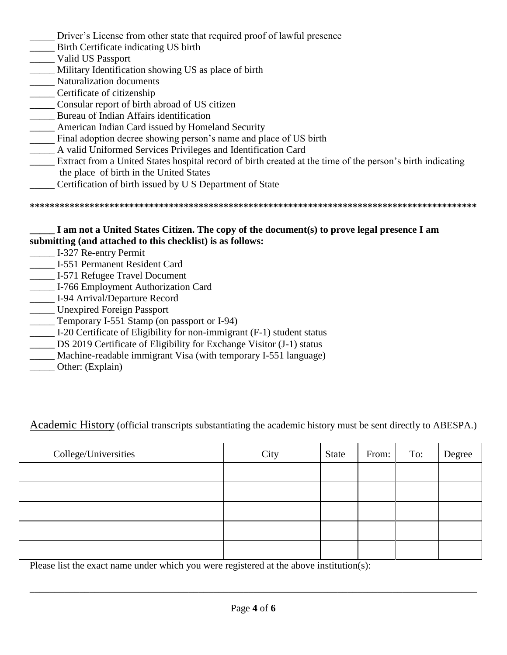- Driver's License from other state that required proof of lawful presence
- \_\_\_\_\_ Birth Certificate indicating US birth
- \_\_\_\_\_ Valid US Passport
- \_\_\_\_\_ Military Identification showing US as place of birth
- \_\_\_\_\_ Naturalization documents
- \_\_\_\_\_ Certificate of citizenship
- \_\_\_\_\_ Consular report of birth abroad of US citizen
- \_\_\_\_\_ Bureau of Indian Affairs identification
- \_\_\_\_\_ American Indian Card issued by Homeland Security
- \_\_\_\_\_ Final adoption decree showing person's name and place of US birth
- \_\_\_\_\_ A valid Uniformed Services Privileges and Identification Card
- \_\_\_\_\_ Extract from a United States hospital record of birth created at the time of the person's birth indicating the place of birth in the United States
- \_\_\_\_\_ Certification of birth issued by U S Department of State

**\*\*\*\*\*\*\*\*\*\*\*\*\*\*\*\*\*\*\*\*\*\*\*\*\*\*\*\*\*\*\*\*\*\*\*\*\*\*\*\*\*\*\*\*\*\*\*\*\*\*\*\*\*\*\*\*\*\*\*\*\*\*\*\*\*\*\*\*\*\*\*\*\*\*\*\*\*\*\*\*\*\*\*\*\*\*\*\*\*\***

## **\_\_\_\_\_ I am not a United States Citizen. The copy of the document(s) to prove legal presence I am submitting (and attached to this checklist) is as follows:**

- \_\_\_\_\_ I-327 Re-entry Permit
- \_\_\_\_\_ I-551 Permanent Resident Card
- \_\_\_\_\_ I-571 Refugee Travel Document
- \_\_\_\_\_ I-766 Employment Authorization Card
- \_\_\_\_\_ I-94 Arrival/Departure Record
- \_\_\_\_\_ Unexpired Foreign Passport
- \_\_\_\_\_ Temporary I-551 Stamp (on passport or I-94)
- \_\_\_\_\_ I-20 Certificate of Eligibility for non-immigrant (F-1) student status
- \_\_\_\_\_ DS 2019 Certificate of Eligibility for Exchange Visitor (J-1) status
- Machine-readable immigrant Visa (with temporary I-551 language)
- \_\_\_\_\_ Other: (Explain)

Academic History (official transcripts substantiating the academic history must be sent directly to ABESPA.)

| College/Universities | City | State | From: | To: | Degree |
|----------------------|------|-------|-------|-----|--------|
|                      |      |       |       |     |        |
|                      |      |       |       |     |        |
|                      |      |       |       |     |        |
|                      |      |       |       |     |        |
|                      |      |       |       |     |        |

Please list the exact name under which you were registered at the above institution(s):

\_\_\_\_\_\_\_\_\_\_\_\_\_\_\_\_\_\_\_\_\_\_\_\_\_\_\_\_\_\_\_\_\_\_\_\_\_\_\_\_\_\_\_\_\_\_\_\_\_\_\_\_\_\_\_\_\_\_\_\_\_\_\_\_\_\_\_\_\_\_\_\_\_\_\_\_\_\_\_\_\_\_\_\_\_\_\_\_\_\_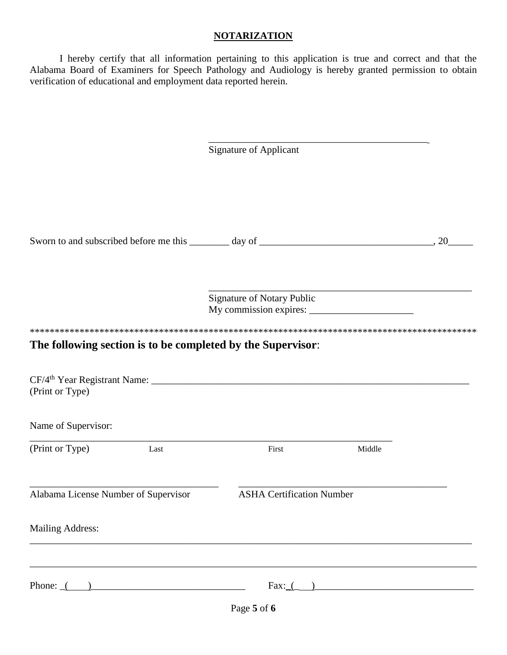#### **NOTARIZATION**

I hereby certify that all information pertaining to this application is true and correct and that the Alabama Board of Examiners for Speech Pathology and Audiology is hereby granted permission to obtain verification of educational and employment data reported herein.

|                                                                   | <b>Signature of Applicant</b>     |        |    |
|-------------------------------------------------------------------|-----------------------------------|--------|----|
|                                                                   |                                   |        | 20 |
|                                                                   | <b>Signature of Notary Public</b> |        |    |
|                                                                   |                                   |        |    |
| The following section is to be completed by the Supervisor:       |                                   |        |    |
|                                                                   |                                   |        |    |
|                                                                   |                                   |        |    |
|                                                                   |                                   |        |    |
| (Print or Type)<br>Name of Supervisor:<br>(Print or Type)<br>Last | First                             | Middle |    |
|                                                                   | <b>ASHA Certification Number</b>  |        |    |
| Alabama License Number of Supervisor<br><b>Mailing Address:</b>   |                                   |        |    |